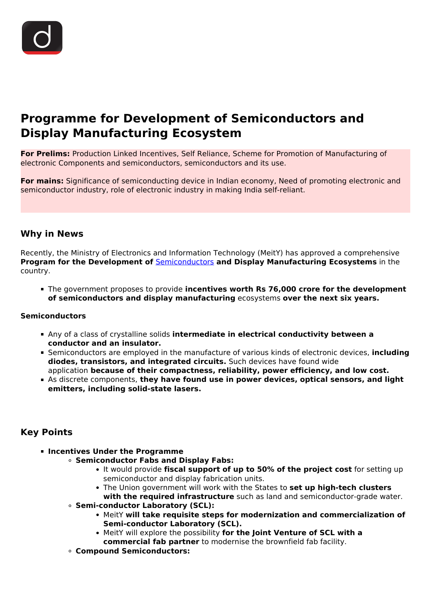

# **Programme for Development of Semiconductors and Display Manufacturing Ecosystem**

**For Prelims:** Production Linked Incentives, Self Reliance, Scheme for Promotion of Manufacturing of electronic Components and semiconductors, semiconductors and its use.

**For mains:** Significance of semiconducting device in Indian economy, Need of promoting electronic and semiconductor industry, role of electronic industry in making India self-reliant.

#### **Why in News**

Recently, the Ministry of Electronics and Information Technology (MeitY) has approved a comprehensive **Program for the Development of** [Semiconductors](/daily-updates/daily-news-analysis/semiconductor-chips-shortage-in-vehicle-manufacturing) **and Display Manufacturing Ecosystems** in the country.

The government proposes to provide **incentives worth Rs 76,000 crore for the development of semiconductors and display manufacturing** ecosystems **over the next six years.**

#### **Semiconductors**

- Any of a class of crystalline solids **intermediate in electrical conductivity between a conductor and an insulator.**
- Semiconductors are employed in the manufacture of various kinds of electronic devices, **including diodes, transistors, and integrated circuits.** Such devices have found wide application **because of their compactness, reliability, power efficiency, and low cost.**
- As discrete components, **they have found use in power devices, optical sensors, and light emitters, including solid-state lasers.**

## **Key Points**

- **Incentives Under the Programme**
	- **Semiconductor Fabs and Display Fabs:**
		- It would provide **fiscal support of up to 50% of the project cost** for setting up semiconductor and display fabrication units.
		- The Union government will work with the States to **set up high-tech clusters with the required infrastructure** such as land and semiconductor-grade water.
	- **Semi-conductor Laboratory (SCL):**
		- MeitY **will take requisite steps for modernization and commercialization of Semi-conductor Laboratory (SCL).**
		- MeitY will explore the possibility **for the Joint Venture of SCL with a commercial fab partner** to modernise the brownfield fab facility.
	- **Compound Semiconductors:**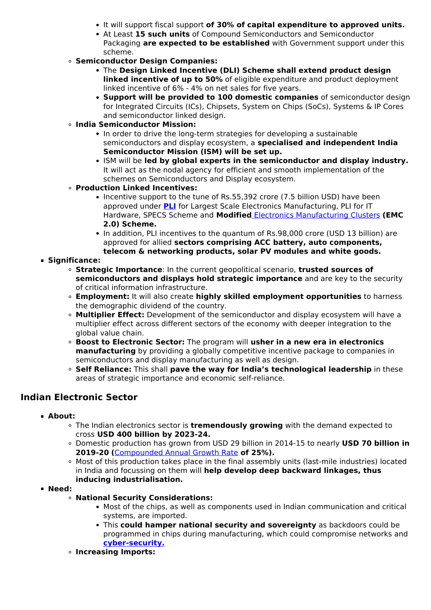- It will support fiscal support **of 30% of capital expenditure to approved units.**
- At Least **15 such units** of Compound Semiconductors and Semiconductor Packaging **are expected to be established** with Government support under this scheme.
- **Semiconductor Design Companies:**
	- The **Design Linked Incentive (DLI) Scheme shall extend product design linked incentive of up to 50%** of eligible expenditure and product deployment linked incentive of 6% - 4% on net sales for five years.
	- **Support will be provided to 100 domestic companies** of semiconductor design for Integrated Circuits (ICs), Chipsets, System on Chips (SoCs), Systems & IP Cores and semiconductor linked design.
- **India Semiconductor Mission:**
	- In order to drive the long-term strategies for developing a sustainable semiconductors and display ecosystem, a **specialised and independent India Semiconductor Mission (ISM) will be set up.**
	- ISM will be **led by global experts in the semiconductor and display industry.** It will act as the nodal agency for efficient and smooth implementation of the schemes on Semiconductors and Display ecosystem.
- **Production Linked Incentives:**
	- Incentive support to the tune of Rs.55,392 crore (7.5 billion USD) have been approved under **[PLI](/daily-updates/daily-news-analysis/production-linked-incentive-pli-scheme-for-textiles-sector)** for Largest Scale Electronics Manufacturing, PLI for IT Hardware, SPECS Scheme and **Modified** [Electronics Manufacturing Clusters](/daily-updates/daily-news-analysis/electronics-manufacturing-clusters-emc2-0-scheme) **(EMC 2.0) Scheme.**
	- In addition, PLI incentives to the quantum of Rs.98,000 crore (USD 13 billion) are approved for allied **sectors comprising ACC battery, auto components, telecom & networking products, solar PV modules and white goods.**
- **Significance:**
	- **Strategic Importance**: In the current geopolitical scenario, **trusted sources of semiconductors and displays hold strategic importance** and are key to the security of critical information infrastructure.
	- **Employment:** It will also create **highly skilled employment opportunities** to harness the demographic dividend of the country.
	- **Multiplier Effect:** Development of the semiconductor and display ecosystem will have a multiplier effect across different sectors of the economy with deeper integration to the global value chain.
	- **Boost to Electronic Sector:** The program will **usher in a new era in electronics manufacturing** by providing a globally competitive incentive package to companies in semiconductors and display manufacturing as well as design.
	- **Self Reliance:** This shall **pave the way for India's technological leadership** in these areas of strategic importance and economic self-reliance.

# **Indian Electronic Sector**

- **About:**
	- The Indian electronics sector is **tremendously growing** with the demand expected to cross **USD 400 billion by 2023-24.**
	- Domestic production has grown from USD 29 billion in 2014-15 to nearly **USD 70 billion in 2019-20 (**[Compounded Annual Growth Rate](/daily-updates/daily-news-analysis/important-facts-for-prelims-29th-april-2019) **of 25%).**
	- Most of this production takes place in the final assembly units (last-mile industries) located in India and focussing on them will **help develop deep backward linkages, thus inducing industrialisation.**
- **Need:**
	- **National Security Considerations:**
		- Most of the chips, as well as components used in Indian communication and critical systems, are imported.
		- This **could hamper national security and sovereignty** as backdoors could be programmed in chips during manufacturing, which could compromise networks and **[cyber-security.](/to-the-points/paper3/cyber-security)**
	- **Increasing Imports:**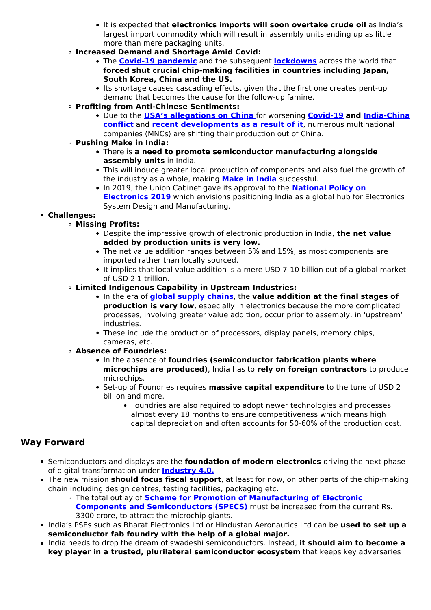- It is expected that **electronics imports will soon overtake crude oil** as India's largest import commodity which will result in assembly units ending up as little more than mere packaging units.
- **Increased Demand and Shortage Amid Covid:**
	- The **[Covid-19 pandemic](/daily-updates/daily-news-editorials/comprehensive-action-plan-for-covid-19)** and the subsequent **[lockdowns](/daily-updates/daily-news-editorials/covid-19-and-lockdown)** across the world that **forced shut crucial chip-making facilities in countries including Japan, South Korea, China and the US.**
	- Its shortage causes cascading effects, given that the first one creates pent-up demand that becomes the cause for the follow-up famine.
- **Profiting from Anti-Chinese Sentiments:**
	- Due to the **[USA's allegations on China](/daily-updates/daily-news-analysis/usa-bill-to-put-sanction-on-china)** for worsening **[Covid-19](/daily-updates/daily-news-analysis/coronavirus-disease-named-covid-19) and [India-China](/daily-updates/daily-news-analysis/india-china-conflict) [conflict](/daily-updates/daily-news-analysis/india-china-conflict)** and **[recent developments as a result of it](/daily-updates/daily-news-analysis/economic-measures-by-india-against-china)**, numerous multinational companies (MNCs) are shifting their production out of China.
- **Pushing Make in India:**
	- There is **a need to promote semiconductor manufacturing alongside assembly units** in India.
	- This will induce greater local production of components and also fuel the growth of the industry as a whole, making **[Make in India](/daily-updates/daily-news-editorials/assessment-of-make-in-india#:~:text=Make%20in%20India%20is%20designed,India%20a%20global%20manufacturing%20hub.&text=To%20create%20100%20million%20additional%20manufacturing%20jobs%20in%20the%20economy%20by%202022.)** successful.
	- **In 2019, the Union Cabinet gave its approval to the [National Policy on](/daily-updates/daily-news-analysis/national-policy-on-electronics-2019#:~:text=The%20Union%20Cabinet%20gave%20its,and%20Information%20Technology%20(MeitY).&text=creating%20an%20enabling%20environment%20for%20the%20industry%20to%20compete%20globally.) [Electronics 2019](/daily-updates/daily-news-analysis/national-policy-on-electronics-2019#:~:text=The%20Union%20Cabinet%20gave%20its,and%20Information%20Technology%20(MeitY).&text=creating%20an%20enabling%20environment%20for%20the%20industry%20to%20compete%20globally.)** which envisions positioning India as a global hub for Electronics System Design and Manufacturing.

#### **Challenges:**

- **Missing Profits:**
	- Despite the impressive growth of electronic production in India, **the net value added by production units is very low.**
	- The net value addition ranges between 5% and 15%, as most components are imported rather than locally sourced.
	- It implies that local value addition is a mere USD 7-10 billion out of a global market of USD 2.1 trillion.
- **Limited Indigenous Capability in Upstream Industries:**
	- In the era of **[global supply chains](/loksabha-rajyasabha-discussions/the-big-picture-restoring-global-supply-chains)**, the **value addition at the final stages of production is very low**, especially in electronics because the more complicated processes, involving greater value addition, occur prior to assembly, in 'upstream' industries.
	- These include the production of processors, display panels, memory chips, cameras, etc.
- **Absence of Foundries:**
	- **In the absence of foundries (semiconductor fabrication plants where microchips are produced)**, India has to **rely on foreign contractors** to produce microchips.
	- Set-up of Foundries requires **massive capital expenditure** to the tune of USD 2 billion and more.
		- Foundries are also required to adopt newer technologies and processes almost every 18 months to ensure competitiveness which means high capital depreciation and often accounts for 50-60% of the production cost.

## **Way Forward**

- Semiconductors and displays are the **foundation of modern electronics** driving the next phase of digital transformation under **[Industry 4.0.](/loksabha-rajyasabha-discussions/in-depth-industrial-revolution-4-0)**
- The new mission **should focus fiscal support**, at least for now, on other parts of the chip-making chain including design centres, testing facilities, packaging etc.
	- The total outlay of **[Scheme for Promotion of Manufacturing of Electronic](/daily-updates/daily-news-analysis/schemes-for-electronic-manufacturing) [Components and Semiconductors \(SPECS\)](/daily-updates/daily-news-analysis/schemes-for-electronic-manufacturing)** must be increased from the current Rs. 3300 crore, to attract the microchip giants.
- India's PSEs such as Bharat Electronics Ltd or Hindustan Aeronautics Ltd can be **used to set up a semiconductor fab foundry with the help of a global major.**
- **India needs to drop the dream of swadeshi semiconductors. Instead, it should aim to become a key player in a trusted, plurilateral semiconductor ecosystem** that keeps key adversaries